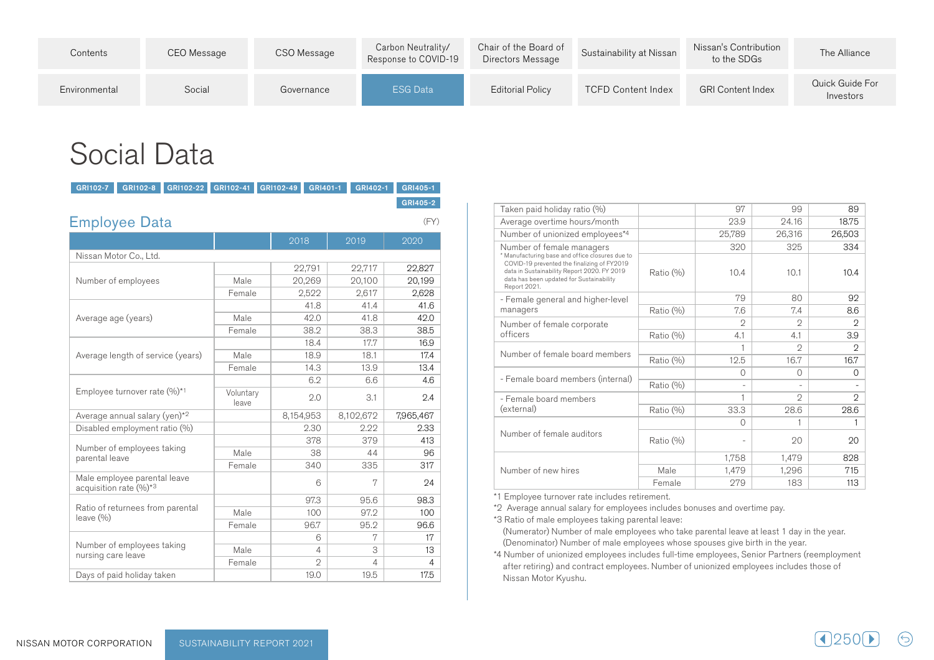| Contents      | CEO Message | CSO Message | Carbon Neutrality/<br>Response to COVID-19 | Chair of the Board of<br>Directors Message | Sustainability at Nissan  | Nissan's Contribution<br>to the SDGs | The Alliance                 |
|---------------|-------------|-------------|--------------------------------------------|--------------------------------------------|---------------------------|--------------------------------------|------------------------------|
| Environmental | Social      | Governance  | ESG Data                                   | <b>Editorial Policy</b>                    | <b>TCFD Content Index</b> | <b>GRI Content Index</b>             | Quick Guide For<br>Investors |

# **Social Data**

| GRI102-7             | GRI102-8                                               | GRI102-22 | GRI102-41          | GRI102-49 | GRI401-1       |       | GRI402-1         |           | GRI405-1 |  |
|----------------------|--------------------------------------------------------|-----------|--------------------|-----------|----------------|-------|------------------|-----------|----------|--|
|                      |                                                        |           |                    |           |                |       |                  |           | GRI405-2 |  |
| <b>Employee Data</b> |                                                        |           |                    |           |                |       |                  |           | (FY)     |  |
|                      |                                                        |           |                    | 2018      |                |       | 2019             | 2020      |          |  |
|                      | Nissan Motor Co., Ltd.                                 |           |                    |           |                |       |                  |           |          |  |
|                      |                                                        |           |                    |           | 22,791         |       | 22,717           |           | 22,827   |  |
|                      | Number of employees                                    |           | Male               |           | 20,269         |       | 20,100           |           | 20,199   |  |
|                      |                                                        | Female    |                    | 2,522     |                | 2,617 |                  | 2,628     |          |  |
|                      |                                                        |           |                    |           | 41.8           |       | 41.4             |           | 41.6     |  |
| Average age (years)  |                                                        |           | Male               |           | 42.0           |       | 41.8             |           | 42.0     |  |
|                      |                                                        |           | Female             |           | 38.2           |       | 38.3             |           | 38.5     |  |
|                      |                                                        |           |                    |           | 18.4           |       | 17.7             |           | 16.9     |  |
|                      | Average length of service (years)                      |           | Male               | 18.9      |                | 18.1  |                  |           | 17.4     |  |
|                      |                                                        | Female    |                    | 14.3      |                | 13.9  |                  | 13.4      |          |  |
|                      |                                                        |           |                    |           | 6.2            |       | 6.6              |           | 4.6      |  |
|                      | Employee turnover rate (%)*1                           |           | Voluntary<br>leave |           | 2.0            |       | 3.1              |           | 2.4      |  |
|                      | Average annual salary (yen)*2                          |           |                    | 8,154,953 |                |       |                  | 7,965,467 |          |  |
|                      | Disabled employment ratio (%)                          |           |                    |           | 2.30           |       | 2.22             |           | 2.33     |  |
|                      |                                                        |           |                    |           | 378            |       | 379              |           | 413      |  |
| parental leave       | Number of employees taking                             |           | Male               |           | 38             |       | 44               |           | 96       |  |
|                      |                                                        |           | Female             |           | 340            |       | 8,102,672<br>335 |           | 317      |  |
|                      | Male employee parental leave<br>acquisition rate (%)*3 |           |                    |           | 6              |       | 7                |           | 24       |  |
|                      |                                                        |           |                    |           | 97.3           |       | 95.6             |           | 98.3     |  |
| leave (%)            | Ratio of returnees from parental                       |           | Male               | 100       |                |       | 97.2             |           | 100      |  |
|                      |                                                        |           | Female             |           | 96.7           |       | 95.2             |           | 96.6     |  |
|                      |                                                        |           |                    |           | 6              |       | 7                |           | 17       |  |
| nursing care leave   | Number of employees taking                             |           | Male               |           | 4              |       | 3                |           | 13       |  |
|                      |                                                        |           | Female             |           | $\mathfrak{D}$ |       | 4                |           | 4        |  |
|                      | Days of paid holiday taken                             |           |                    |           | 19.0           |       | 19.5             |           | 17.5     |  |

| Taken paid holiday ratio (%)                                                                                                                           |           | 97       | 99       | 89             |
|--------------------------------------------------------------------------------------------------------------------------------------------------------|-----------|----------|----------|----------------|
| Average overtime hours/month                                                                                                                           |           | 23.9     | 24.16    | 18.75          |
| Number of unionized employees*4                                                                                                                        |           | 25,789   | 26,316   | 26,503         |
| Number of female managers<br>* Manufacturing base and office closures due to                                                                           |           | 320      | 325      | 334            |
| COVID-19 prevented the finalizing of FY2019<br>data in Sustainability Report 2020. FY 2019<br>data has been updated for Sustainability<br>Report 2021. | Ratio (%) | 10.4     | 10.1     | 10.4           |
| - Female general and higher-level                                                                                                                      |           | 79       | 80       | 92             |
| managers                                                                                                                                               | Ratio (%) | 7.6      | 7.4      | 8.6            |
| Number of female corporate                                                                                                                             |           | 2        | 2        | $\mathfrak{D}$ |
| officers                                                                                                                                               | Ratio (%) | 4.1      | 4.1      | 3.9            |
| Number of female board members                                                                                                                         |           | 1        | 2        | $\mathfrak{D}$ |
|                                                                                                                                                        | Ratio (%) | 12.5     | 16.7     | 16.7           |
| - Female board members (internal)                                                                                                                      |           | $\Omega$ | $\Omega$ | $\Omega$       |
|                                                                                                                                                        | Ratio (%) |          |          |                |
| - Female board members                                                                                                                                 |           | 1        | 2        | 2              |
| (external)                                                                                                                                             | Ratio (%) | 33.3     | 28.6     | 28.6           |
|                                                                                                                                                        |           | $\Omega$ |          |                |
| Number of female auditors                                                                                                                              | Ratio (%) |          | 20       | 20             |
|                                                                                                                                                        |           | 1,758    | 1,479    | 828            |
| Number of new hires                                                                                                                                    | Male      | 1,479    | 1,296    | 715            |
|                                                                                                                                                        | Female    | 279      | 183      | 113            |

\*1 Employee turnover rate includes retirement.

\*2 Average annual salary for employees includes bonuses and overtime pay.

\*3 Ratio of male employees taking parental leave: (Numerator) Number of male employees who take parental leave at least 1 day in the year. (Denominator) Number of male employees whose spouses give birth in the year.

\*4 Number of unionized employees includes full-time employees, Senior Partners (reemployment after retiring) and contract employees. Number of unionized employees includes those of Nissan Motor Kyushu.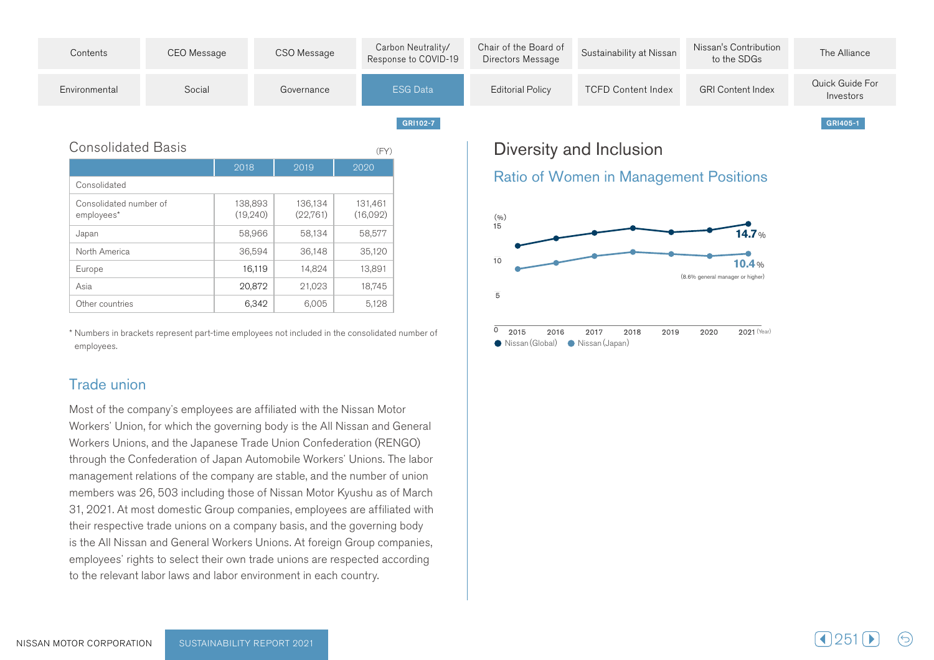

| <b>Consolidated Basis</b>            |                      |                     | (FY)                |
|--------------------------------------|----------------------|---------------------|---------------------|
|                                      | 2018                 | 2019                | 2020                |
| Consolidated                         |                      |                     |                     |
| Consolidated number of<br>employees* | 138,893<br>(19, 240) | 136,134<br>(22,761) | 131,461<br>(16,092) |
| Japan                                | 58,966               | 58,134              | 58,577              |
| North America                        | 36,594               | 36,148              | 35,120              |
| Europe                               | 16,119               | 14,824              | 13,891              |
| Asia                                 | 20,872               | 21,023              | 18,745              |
| Other countries                      | 6,342                | 6,005               | 5,128               |

\* Numbers in brackets represent part-time employees not included in the consolidated number of .employees

#### Trade union

Most of the company's employees are affiliated with the Nissan Motor Workers' Union, for which the governing body is the All Nissan and General Workers Unions, and the Japanese Trade Union Confederation (RENGO) through the Confederation of Japan Automobile Workers' Unions. The labor management relations of the company are stable, and the number of union members was 26, 503 including those of Nissan Motor Kyushu as of March 31, 2021. At most domestic Group companies, employees are affiliated with their respective trade unions on a company basis, and the governing body is the All Nissan and General Workers Unions. At foreign Group companies, employees' rights to select their own trade unions are respected according to the relevant labor laws and labor environment in each country.

# Diversity and Inclusion

#### **Ratio of Women in Management Positions**



Nissan (Global) Nissan (Japan)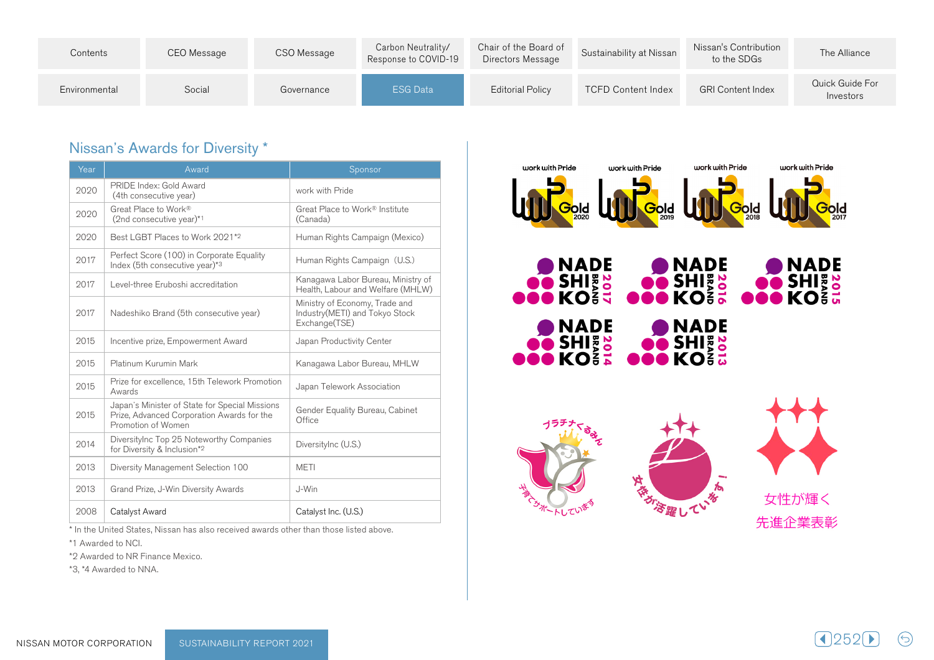| Contents      | CEO Message | CSO Message | Carbon Neutrality/<br>Response to COVID-19 | Chair of the Board of<br>Directors Message | Sustainability at Nissan  | Nissan's Contribution<br>to the SDGs | The Alliance                 |
|---------------|-------------|-------------|--------------------------------------------|--------------------------------------------|---------------------------|--------------------------------------|------------------------------|
| Environmental | Social      | Governance  | <b>ESG Data</b>                            | <b>Editorial Policy</b>                    | <b>TCFD Content Index</b> | <b>GRI Content Index</b>             | Quick Guide For<br>Investors |

## Nissan's Awards for Diversity \*

| Year | Award                                                                                                              | Sponsor                                                                           |
|------|--------------------------------------------------------------------------------------------------------------------|-----------------------------------------------------------------------------------|
| 2020 | PRIDE Index: Gold Award<br>(4th consecutive year)                                                                  | work with Pride                                                                   |
| 2020 | Great Place to Work®<br>(2nd consecutive year)*1                                                                   | Great Place to Work® Institute<br>(Canada)                                        |
| 2020 | Best I GBT Places to Work 2021*2                                                                                   | Human Rights Campaign (Mexico)                                                    |
| 2017 | Perfect Score (100) in Corporate Equality<br>Index (5th consecutive year) $*3$                                     | Human Rights Campaign (U.S.)                                                      |
| 2017 | Level-three Eruboshi accreditation                                                                                 | Kanagawa Labor Bureau, Ministry of<br>Health, Labour and Welfare (MHLW)           |
| 2017 | Nadeshiko Brand (5th consecutive year)                                                                             | Ministry of Economy, Trade and<br>Industry(METI) and Tokyo Stock<br>Exchange(TSE) |
| 2015 | Incentive prize, Empowerment Award                                                                                 | Japan Productivity Center                                                         |
| 2015 | Platinum Kurumin Mark                                                                                              | Kanagawa Labor Bureau, MHLW                                                       |
| 2015 | Prize for excellence, 15th Telework Promotion<br>Awards                                                            | Japan Telework Association                                                        |
| 2015 | Japan's Minister of State for Special Missions<br>Prize, Advanced Corporation Awards for the<br>Promotion of Women | Gender Equality Bureau, Cabinet<br>Office                                         |
| 2014 | DiversityInc Top 25 Noteworthy Companies<br>for Diversity & Inclusion*2                                            | DiversityInc (U.S.)                                                               |
| 2013 | Diversity Management Selection 100                                                                                 | <b>METI</b>                                                                       |
| 2013 | Grand Prize, J-Win Diversity Awards                                                                                | J-Win                                                                             |
| 2008 | Catalyst Award                                                                                                     | Catalyst Inc. (U.S.)                                                              |

\* In the United States. Nissan has also received awards other than those listed above.

\*1 Awarded to NCI.

\*2 Awarded to NR Finance Mexico.

\*3, \*4 Awarded to NNA.









女性が輝く 先進企業表彰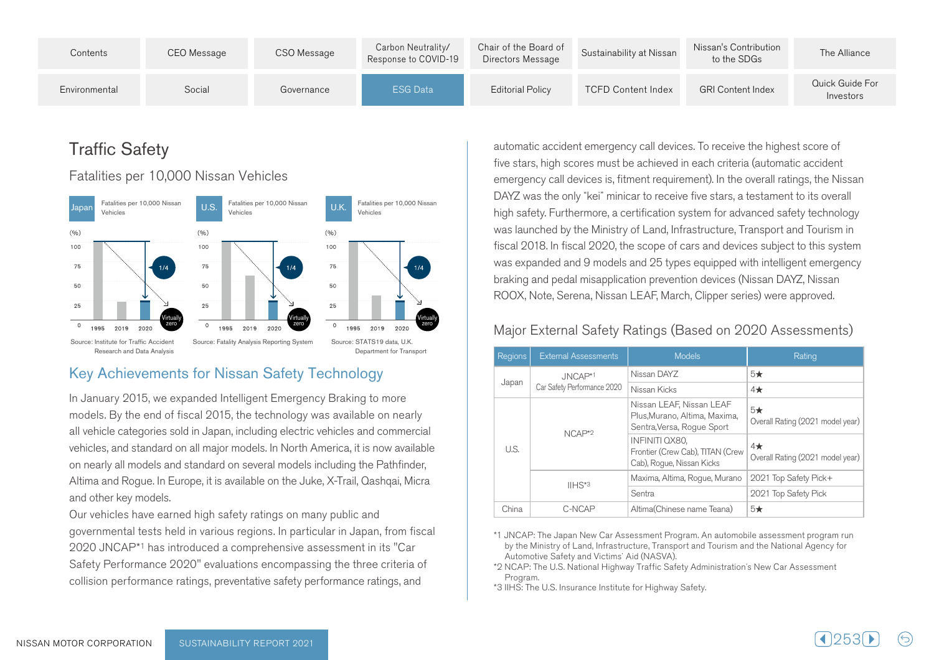| Contents      | CEO Message | CSO Message | Carbon Neutrality/<br>Response to COVID-19 | Chair of the Board of<br>Directors Message | Sustainability at Nissan  | Nissan's Contribution<br>to the SDGs | The Alliance                 |
|---------------|-------------|-------------|--------------------------------------------|--------------------------------------------|---------------------------|--------------------------------------|------------------------------|
| Environmental | Social      | Governance  | <b>ESG Data</b>                            | Editorial Policy                           | <b>TCFD Content Index</b> | <b>GRI Content Index</b>             | Quick Guide For<br>Investors |

# **Traffic Safety**

#### Fatalities per 10,000 Nissan Vehicles



## Key Achievements for Nissan Safety Technology

In January 2015, we expanded Intelligent Emergency Braking to more models. By the end of fiscal 2015, the technology was available on nearly all vehicle categories sold in Japan, including electric vehicles and commercial vehicles, and standard on all major models. In North America, it is now available on nearly all models and standard on several models including the Pathfinder, Altima and Rogue. In Europe, it is available on the Juke, X-Trail, Qashqai, Micra and other key models.

Our vehicles have earned high safety ratings on many public and governmental tests held in various regions. In particular in Japan, from fiscal 2020 JNCAP\*1 has introduced a comprehensive assessment in its "Car Safety Performance 2020" evaluations encompassing the three criteria of collision performance ratings, preventative safety performance ratings, and

automatic accident emergency call devices. To receive the highest score of five stars, high scores must be achieved in each criteria (automatic accident emergency call devices is, fitment requirement). In the overall ratings, the Nissan DAYZ was the only "kei" minicar to receive five stars, a testament to its overall high safety. Furthermore, a certification system for advanced safety technology was launched by the Ministry of Land, Infrastructure, Transport and Tourism in fiscal 2018. In fiscal 2020, the scope of cars and devices subject to this system was expanded and 9 models and 25 types equipped with intelligent emergency braking and pedal misapplication prevention devices (Nissan DAYZ, Nissan .ROOX, Note, Serena, Nissan LEAF, March, Clipper series) were approved.

## Major External Safety Ratings (Based on 2020 Assessments)

| <b>Regions</b> | <b>External Assessments</b> | <b>Models</b>                                                                           | Rating                                       |
|----------------|-----------------------------|-----------------------------------------------------------------------------------------|----------------------------------------------|
|                | Nissan DAYZ<br>JNCAP*1      |                                                                                         | $5\star$                                     |
| Japan          | Car Safety Performance 2020 | Nissan Kicks                                                                            | $4\star$                                     |
|                | $NCAP*2$                    | Nissan LEAF, Nissan LEAF<br>Plus, Murano, Altima, Maxima,<br>Sentra, Versa, Roque Sport | $5\star$<br>Overall Rating (2021 model year) |
| U.S.           |                             | <b>INFINITI QX80.</b><br>Frontier (Crew Cab), TITAN (Crew<br>Cab), Roque, Nissan Kicks  | $4\star$<br>Overall Rating (2021 model year) |
|                | $IIHS*3$                    | Maxima, Altima, Rogue, Murano                                                           | 2021 Top Safety Pick+                        |
|                |                             | Sentra                                                                                  | 2021 Top Safety Pick                         |
| China          | C-NCAP                      | Altima (Chinese name Teana)                                                             | $5\star$                                     |

\*1 JNCAP: The Japan New Car Assessment Program. An automobile assessment program run by the Ministry of Land, Infrastructure, Transport and Tourism and the National Agency for Automotive Safety and Victims' Aid (NASVA).

\*2 NCAP: The U.S. National Highway Traffic Safety Administration's New Car Assessment .Program

\*3 IIHS: The U.S. Insurance Institute for Highway Safety.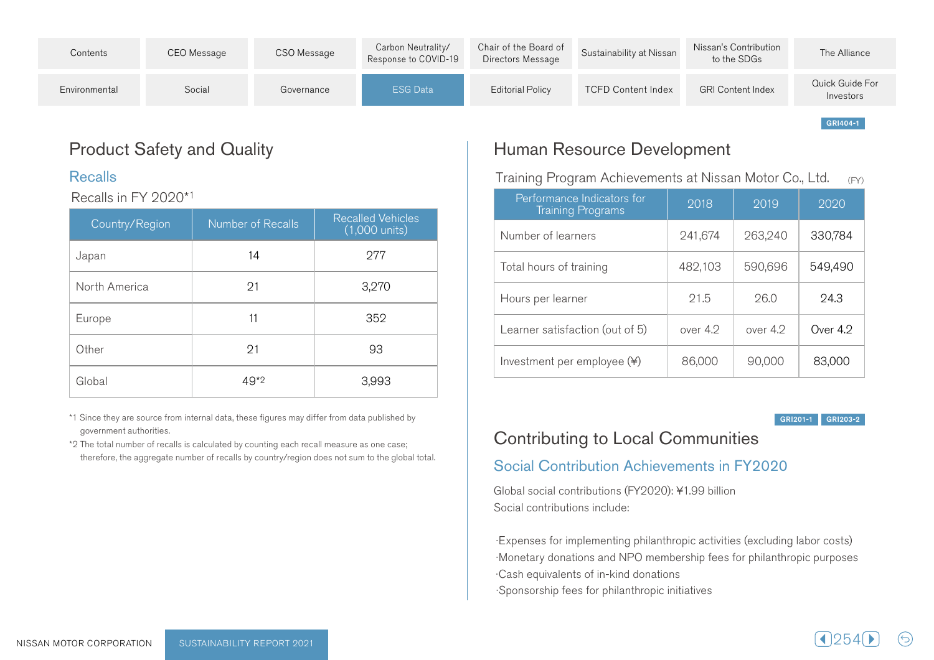| Contents      | CEO Message | CSO Message | Carbon Neutrality/<br>Response to COVID-19 | Chair of the Board of<br>Directors Message | Sustainability at Nissan  | Nissan's Contribution<br>to the SDGs | The Alliance                 |
|---------------|-------------|-------------|--------------------------------------------|--------------------------------------------|---------------------------|--------------------------------------|------------------------------|
| Environmental | Social      | Governance  | <b>ESG Data</b>                            | Editorial Policy                           | <b>TCFD Content Index</b> | <b>GRI Content Index</b>             | Quick Guide For<br>Investors |

# **Product Safety and Quality**

#### Recalls

#### Recalls in FY 2020\*1

| Country/Region | Number of Recalls | <b>Recalled Vehicles</b><br>$(1,000 \text{ units})$ |
|----------------|-------------------|-----------------------------------------------------|
| Japan          | 14                | 277                                                 |
| North America  | 21                | 3,270                                               |
| Europe         | 11                | 352                                                 |
| Other          | 91                | 93                                                  |
| Global         | $49*2$            | 3,993                                               |

\*1 Since they are source from internal data, these figures may differ from data published by government authorities.

\*2 The total number of recalls is calculated by counting each recall measure as one case; therefore, the aggregate number of recalls by country/region does not sum to the global total.

# Human Resource Development

Training Program Achievements at Nissan Motor Co., Ltd.  $(FY)$ 

| Performance Indicators for<br><b>Training Programs</b> | 2018     | 2019       | 2020       |
|--------------------------------------------------------|----------|------------|------------|
| Number of learners                                     | 241,674  | 263,240    | 330,784    |
| Total hours of training                                | 482,103  | 590,696    | 549,490    |
| Hours per learner                                      | 21.5     | 26.0       | 24.3       |
| Learner satisfaction (out of 5)                        | over 4.2 | over $4.2$ | Over $4.2$ |
| Investment per employee $(*)$                          | 86,000   | 90,000     | 83,000     |

GRI 201-1 GRI 203-2

GRI404-1

# Contributing to Local Communities

## Social Contribution Achievements in FY2020

Global social contributions (FY2020): ¥1.99 billion Social contributions include:

Expenses for implementing philanthropic activities (excluding labor costs) · Monetary donations and NPO membership fees for philanthropic purposes Cash equivalents of in-kind donations ·Sponsorship fees for philanthropic initiatives